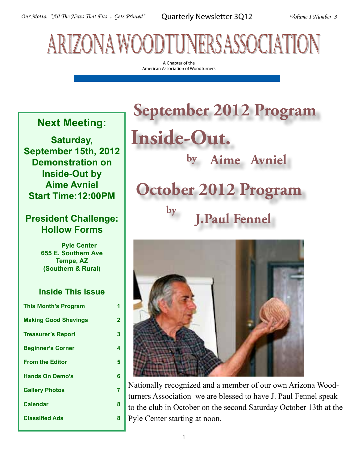# arizona woodtuners association

A Chapter of the American Association of Woodturners

### **Next Meeting:**

**Saturday, September 15th, 2012 Demonstration on Inside-Out by Aime Avniel Start Time:12:00PM**

### **President Challenge: Hollow Forms**

 **Pyle Center 655 E. Southern Ave Tempe, AZ (Southern & Rural)**

### **Inside This Issue**

| <b>This Month's Program</b> | 1 |
|-----------------------------|---|
| <b>Making Good Shavings</b> | 2 |
| <b>Treasurer's Report</b>   | 3 |
| <b>Beginner's Corner</b>    | 4 |
| <b>From the Editor</b>      | 5 |
| <b>Hands On Demo's</b>      | 6 |
| <b>Gallery Photos</b>       | 7 |
| <b>Calendar</b>             | 8 |
| <b>Classified Ads</b>       | 8 |
|                             |   |

## **by Aime Avniel September 2012 Program Inside-Out. October 2012 Program by J.Paul Fennel**



Nationally recognized and a member of our own Arizona Woodturners Association we are blessed to have J. Paul Fennel speak to the club in October on the second Saturday October 13th at the Pyle Center starting at noon.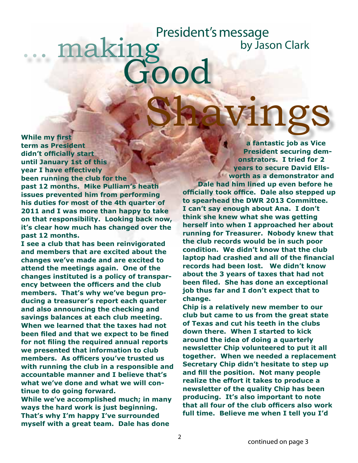## naking  $\Omega$ Shavings President's message by Jason Clark

**While my first term as President didn't officially start until January 1st of this year I have effectively been running the club for the past 12 months. Mike Pulliam's heath issues prevented him from performing his duties for most of the 4th quarter of 2011 and I was more than happy to take on that responsibility. Looking back now, it's clear how much has changed over the past 12 months.** 

**I see a club that has been reinvigorated and members that are excited about the changes we've made and are excited to attend the meetings again. One of the changes instituted is a policy of transparency between the officers and the club members. That's why we've begun producing a treasurer's report each quarter and also announcing the checking and savings balances at each club meeting. When we learned that the taxes had not been filed and that we expect to be fined for not filing the required annual reports we presented that information to club members. As officers you've trusted us with running the club in a responsible and accountable manner and I believe that's what we've done and what we will continue to do going forward.**

**While we've accomplished much; in many ways the hard work is just beginning. That's why I'm happy I've surrounded myself with a great team. Dale has done** 

**a fantastic job as Vice President securing demonstrators. I tried for 2 years to secure David Ellsworth as a demonstrator and Dale had him lined up even before he officially took office. Dale also stepped up to spearhead the DWR 2013 Committee. I can't say enough about Ana. I don't think she knew what she was getting herself into when I approached her about running for Treasurer. Nobody knew that the club records would be in such poor condition. We didn't know that the club laptop had crashed and all of the financial records had been lost. We didn't know about the 3 years of taxes that had not been filed. She has done an exceptional job thus far and I don't expect that to change.**

**Chip is a relatively new member to our club but came to us from the great state of Texas and cut his teeth in the clubs down there. When I started to kick around the idea of doing a quarterly newsletter Chip volunteered to put it all together. When we needed a replacement Secretary Chip didn't hesitate to step up and fill the position. Not many people realize the effort it takes to produce a newsletter of the quality Chip has been producing. It's also important to note that all four of the club officers also work full time. Believe me when I tell you I'd**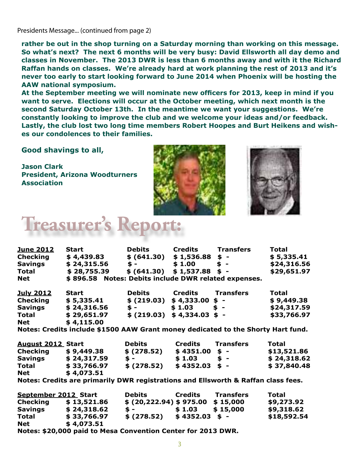Presidents Message... (continued from page 2)

**rather be out in the shop turning on a Saturday morning than working on this message. So what's next? The next 6 months will be very busy: David Ellsworth all day demo and classes in November. The 2013 DWR is less than 6 months away and with it the Richard Raffan hands on classes. We're already hard at work planning the rest of 2013 and it's never too early to start looking forward to June 2014 when Phoenix will be hosting the AAW national symposium.**

**At the September meeting we will nominate new officers for 2013, keep in mind if you want to serve. Elections will occur at the October meeting, which next month is the second Saturday October 13th. In the meantime we want your suggestions. We're constantly looking to improve the club and we welcome your ideas and/or feedback. Lastly, the club lost two long time members Robert Hoopes and Burt Heikens and wishes our condolences to their families.**

**Good shavings to all,**

**Jason Clark President, Arizona Woodturners Association**





## **Treasurer's l**

| <u>June 2012</u>                                                                  | <b>Start contract to the Star</b>                    | <b>Debits</b>                 | <b>Credits</b>  | <b>Transfers</b>            | <b>Total</b> |  |  |
|-----------------------------------------------------------------------------------|------------------------------------------------------|-------------------------------|-----------------|-----------------------------|--------------|--|--|
| Checking                                                                          | \$4,439.83                                           | \$ (641.30)                   |                 | $$1,536.88$ \$ -            | \$5,335.41   |  |  |
| <b>Savings</b>                                                                    | \$24,315.56                                          | $\frac{1}{2}$ – $\frac{1}{2}$ |                 | $$1.00$ \$ -                | \$24,316.56  |  |  |
| <b>Total</b>                                                                      | \$28,755.39                                          |                               |                 | $$ (641.30) $ 1,537.88 $ -$ | \$29,651.97  |  |  |
| Net                                                                               | \$896.58 Notes: Debits include DWR related expenses. |                               |                 |                             |              |  |  |
| <u>July 2012</u>                                                                  | <b>Start</b>                                         | <b>Debits</b>                 | Credits         | <b>Transfers</b>            | Total        |  |  |
| Checking                                                                          | \$5,335.41                                           | $$ (219.03) $4,333.00 $ -$    |                 |                             | \$9,449.38   |  |  |
|                                                                                   | Savings \$24,316.56                                  | $\frac{1}{2}$ – $\frac{1}{2}$ |                 | $$1.03$ \$ -                | \$24,317.59  |  |  |
| <b>Total</b>                                                                      | \$29,651.97                                          | $$ (219.03) $4,334.03 $ -$    |                 |                             | \$33,766.97  |  |  |
| <b>Net</b>                                                                        | \$4,115.00                                           |                               |                 |                             |              |  |  |
| Notes: Credits include \$1500 AAW Grant money dedicated to the Shorty Hart fund.  |                                                      |                               |                 |                             |              |  |  |
| <b>August 2012 Start</b>                                                          |                                                      | <b>Debits</b>                 | Credits         | <b>Transfers</b>            | Total        |  |  |
| Checking                                                                          | \$9,449.38                                           | \$(278.52)                    | $$4351.00 $ -$  |                             | \$13,521.86  |  |  |
| <b>Savings</b>                                                                    | \$24,317.59                                          | $\frac{1}{2}$ – $\frac{1}{2}$ |                 | $$1.03$ \$ -                | \$24,318.62  |  |  |
| <b>Total</b>                                                                      | \$33,766.97                                          | \$ (278.52)                   | $$4352.03$ \$ - |                             | \$37,840.48  |  |  |
| <b>Net</b>                                                                        | \$4,073.51                                           |                               |                 |                             |              |  |  |
| Notes: Credits are primarily DWR registrations and Ellsworth & Raffan class fees. |                                                      |                               |                 |                             |              |  |  |
| September 2012 Start                                                              |                                                      | <b>Debits</b>                 | Credits         | <b>Transfers</b>            | Total        |  |  |
| Checking                                                                          | \$13,521.86                                          | \$ (20, 222.94) \$ 975.00     |                 | \$15,000                    | \$9,273.92   |  |  |
| <b>Savings</b>                                                                    | \$24,318.62                                          | $\frac{1}{2}$ -               | \$1.03          | \$15,000                    | \$9,318.62   |  |  |
| <b>Total</b>                                                                      | \$33,766.97                                          | \$(278.52)                    | $$4352.03$ \$ - |                             | \$18,592.54  |  |  |
| <b>Net</b>                                                                        | \$4,073.51                                           |                               |                 |                             |              |  |  |
| Notes: \$20,000 paid to Mesa Convention Center for 2013 DWR.                      |                                                      |                               |                 |                             |              |  |  |
|                                                                                   |                                                      |                               |                 |                             |              |  |  |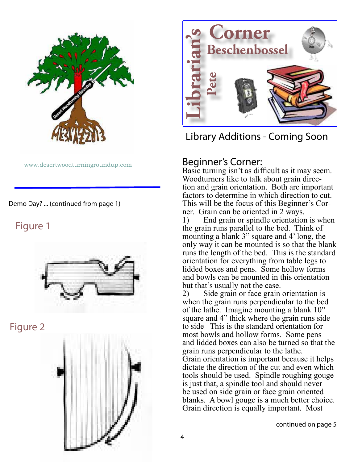

www.desertwoodturningroundup.com

Demo Day? ... (continued from page 1)

### Figure 1



Figure 2





Library Additions - Coming Soon

### Beginner's Corner:

Basic turning isn't as difficult as it may seem. Woodturners like to talk about grain direction and grain orientation. Both are important factors to determine in which direction to cut. This will be the focus of this Beginner's Cor- ner. Grain can be oriented in 2 ways.

1) End grain or spindle orientation is when the grain runs parallel to the bed. Think of mounting a blank 3" square and 4' long, the only way it can be mounted is so that the blank runs the length of the bed. This is the standard orientation for everything from table legs to lidded boxes and pens. Some hollow forms and bowls can be mounted in this orientation but that's usually not the case.

2) Side grain or face grain orientation is when the grain runs perpendicular to the bed of the lathe. Imagine mounting a blank 10" square and 4" thick where the grain runs side to side This is the standard orientation for most bowls and hollow forms. Some pens and lidded boxes can also be turned so that the grain runs perpendicular to the lathe. Grain orientation is important because it helps dictate the direction of the cut and even which tools should be used. Spindle roughing gouge is just that, a spindle tool and should never be used on side grain or face grain oriented blanks. A bowl gouge is a much better choice. **Example 1**<br> **Example 18 (Contract)**<br> **Example 18 (Contract)**<br> **Example 18 (Contract)**<br> **Example 18 (Contract)**<br> **Example 18 (Contract)**<br> **Example 18 (Contract)**<br> **Example 18 (Contract)**<br> **Example 18 (Contract)**<br> **Example** 

continued on page 5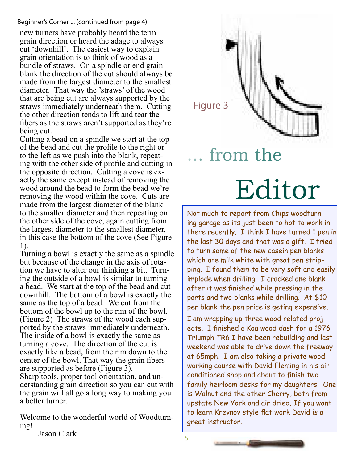### Beginner's Corner ... (continued from page 4)

new turners have probably heard the term grain direction or heard the adage to always cut 'downhill'. The easiest way to explain grain orientation is to think of wood as a bundle of straws. On a spindle or end grain blank the direction of the cut should always be made from the largest diameter to the smallest diameter. That way the 'straws' of the wood that are being cut are always supported by the straws immediately underneath them. Cutting the other direction tends to lift and tear the fibers as the straws aren't supported as they're being cut.

Cutting a bead on a spindle we start at the top of the bead and cut the profile to the right or to the left as we push into the blank, repeat- ing with the other side of profile and cutting in the opposite direction. Cutting a cove is ex- actly the same except instead of removing the wood around the bead to form the bead we're removing the wood within the cove. Cuts are made from the largest diameter of the blank to the smaller diameter and then repeating on the other side of the cove, again cutting from the largest diameter to the smallest diameter, in this case the bottom of the cove (See Figure 1).

Turning a bowl is exactly the same as a spindle but because of the change in the axis of rotation we have to alter our thinking a bit. Turning the outside of a bowl is similar to turning a bead. We start at the top of the bead and cut downhill. The bottom of a bowl is exactly the same as the top of a bead. We cut from the bottom of the bowl up to the rim of the bowl. (Figure 2) The straws of the wood each supported by the straws immediately underneath. The inside of a bowl is exactly the same as turning a cove. The direction of the cut is exactly like a bead, from the rim down to the center of the bowl. That way the grain fibers are supported as before (Figure 3). Sharp tools, proper tool orientation, and understanding grain direction so you can cut with the grain will all go a long way to making you a better turner.

Welcome to the wonderful world of Woodturn-<br>ing!

Figure 3

# Editor from the

Not much to report from Chips woodturning garage as its just been to hot to work in there recently. I think I have turned 1 pen in the last 30 days and that was a gift. I tried to turn some of the new casein pen blanks which are milk white with great pen stripping. I found them to be very soft and easily implode when drilling. I cracked one blank after it was finished while pressing in the parts and two blanks while drilling. At \$10 per blank the pen price is geting expensive.

I am wrapping up three wood related projects. I finished a Koa wood dash for a 1976 Triumph TR6 I have been rebuilding and last weekend was able to drive down the freeway at 65mph. I am also taking a private woodworking course with David Fleming in his air conditioned shop and about to finish two family heirloom desks for my daughters. One is Walnut and the other Cherry, both from upstate New York and air dried. If you want to learn Krevnov style flat work David is a great instructor.

Jason Clark

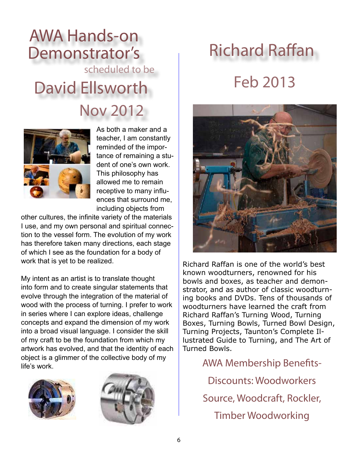### AWA Hands-on Demonstrator's scheduled to be

David Ellsworth

Nov 2012



As both a maker and a teacher, I am constantly reminded of the importance of remaining a student of one's own work. This philosophy has allowed me to remain receptive to many influences that surround me, including objects from

other cultures, the infinite variety of the materials I use, and my own personal and spiritual connection to the vessel form. The evolution of my work has therefore taken many directions, each stage of which I see as the foundation for a body of work that is yet to be realized.

My intent as an artist is to translate thought into form and to create singular statements that evolve through the integration of the material of wood with the process of turning. I prefer to work in series where I can explore ideas, challenge concepts and expand the dimension of my work into a broad visual language. I consider the skill of my craft to be the foundation from which my artwork has evolved, and that the identity of each object is a glimmer of the collective body of my life's work.





## Richard Raffan

### Feb 2013



Richard Raffan is one of the world's best known woodturners, renowned for his bowls and boxes, as teacher and demonstrator, and as author of classic woodturning books and DVDs. Tens of thousands of woodturners have learned the craft from Richard Raffan's Turning Wood, Turning Boxes, Turning Bowls, Turned Bowl Design, Turning Projects, Taunton's Complete Illustrated Guide to Turning, and The Art of Turned Bowls.

> AWA Membership Benefits-Discounts: Woodworkers Source, Woodcraft, Rockler,

Timber Woodworking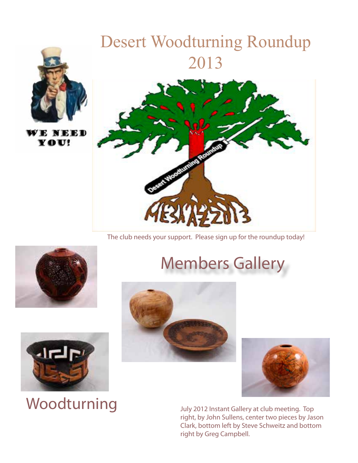

### ELD Y O U!

## Desert Woodturning Roundup 2013



The club needs your support. Please sign up for the roundup today!



## Members Gallery





July 2012 Instant Gallery at club meeting. Top right, by John Sullens, center two pieces by Jason Clark, bottom left by Steve Schweitz and bottom right by Greg Campbell.